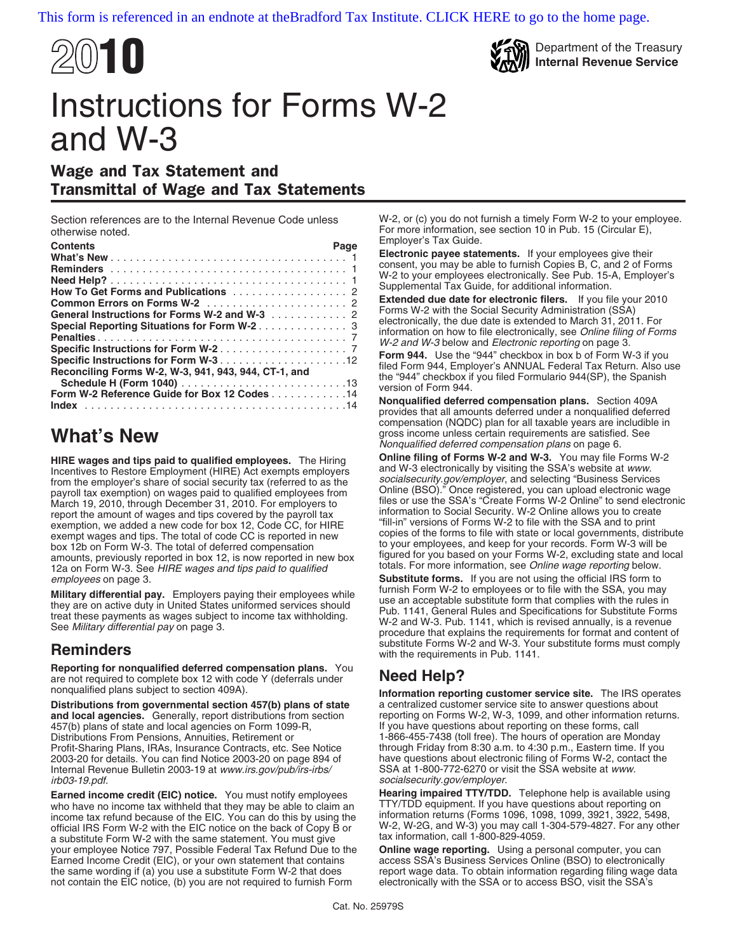



# Instructions for Forms W-2 and W-3

### Wage and Tax Statement and Transmittal of Wage and Tax Statements

otherwise noted. For more information, see section 10 in Pub. 15 (Circular E),

| <b>Contents</b><br>Page                                                                                          | Employer's Tax Guide.<br><b>Electronic payee statements.</b> If your employees give their                                                                 |
|------------------------------------------------------------------------------------------------------------------|-----------------------------------------------------------------------------------------------------------------------------------------------------------|
|                                                                                                                  | consent, you may be able to furnish Copies B, C, and 2 of Forms<br>W-2 to your employees electronically. See Pub. 15-A, Employer's                        |
| How To Get Forms and Publications entitled and result of 2                                                       | Supplemental Tax Guide, for additional information.                                                                                                       |
|                                                                                                                  | <b>Extended due date for electronic filers.</b> If you file your 2010<br>Forms W-2 with the Social Security Administration (SSA)                          |
| General Instructions for Forms W-2 and W-3 mandel based on the 2<br>Special Reporting Situations for Form W-2. 3 | electronically, the due date is extended to March 31, 2011. For<br>information on how to file electronically, see Online filing of Forms                  |
|                                                                                                                  | W-2 and W-3 below and Electronic reporting on page 3.<br><b>Form 944.</b> Use the "944" checkbox in box b of Form W-3 if you                              |
| Reconciling Forms W-2, W-3, 941, 943, 944, CT-1, and                                                             | filed Form 944, Employer's ANNUAL Federal Tax Return. Also use<br>the "944" checkbox if you filed Formulario 944(SP), the Spanish<br>version of Form 944. |
| Form W-2 Reference Guide for Box 12 Codes 14                                                                     | Nonqualified deferred compensation plans. Section 409A<br>provides that all amounts deferred under a nonqualified deferred                                |

Incentives to Restore Employment (HIRE) Act exempts employers<br>
from the employer's share of social security tax (referred to as the<br>
payroll tax exemption) on wages paid to qualified employees from<br>
March 19, 2010, through motion the amount of wages and tips covered by the payroll tax<br>exemption, we added a new code for box 12, Code CC, for HIRE<br>exempt wages and tips. The total of code CC is reported in new<br>box 12b on Form W-3. The total of d 12a on Form W-3. See *HIRE wages and tips paid to qualified* totals. For more information, see *Online wage reporting below.*<br> **Substitute forms.** If you are not using the official IRS form to<br> **Military differential nay**

**Reporting for nonqualified deferred compensation plans.** You are not required to complete box 12 with code Y (deferrals under **Need Help?**<br>
nonqualified plans subject to section 409A).

**Distributions from governmental section 457(b) plans of state and local agencies.** Generally, report distributions from section reporting on Forms W-2, W-3, 1099, and other information returns.<br>457(b) plans of state and local agencies on Form 1099-R, If you have questions about repo Distributions From Pensions, Annuities, Retirement or 1-866-455-7438 (toll free). The hours of operation are Monday<br>Profit-Sharing Plans, IRAs, Insurance Contracts, etc. See Notice through Friday from 8:30 a.m. to 4:30 p.m Profit-Sharing Plans, IRAs, Insurance Contracts, etc. See Notice through Friday from 8:30 a.m. to 4:30 p.m., Eastern time. If you<br>2003-20 for details. You can find Notice 2003-20 on page 894 of have questions about electro 2003-20 for details. You can find Notice 2003-20 on page 894 of have questions about electronic filing of Forms W-2, container internal Revenue Bulletin 2003-19 at www.irs.gov/pub/irs-irbs/ SSA at 1-800-772-6270 or visit t Internal Revenue Bulletin 2003-19 at www.irs.gov/pub/irs-irbs/<br>irb03-19.pdf.

who have no income tax withheld that they may be able to claim an TTY/TDD equipment. If you have questions about reporting on<br>income tax refund because of the FIC, You can do this by using the information returns (Forms 10 income tax refund because of the EIC. You can do this by using the information returns (Forms 1096, 1098, 1098, 3921, 3922, 5498, official IRS Form W-2 with the EIC notice on the back of Copy B or W-2, W-2G, and W-3) you m official IRS Form W-2 with the EIC notice on the back of Copy B or W-2, W-2G, and W-3) you may call 1<br>a substitute Form W-2 with the same statement You must give tax information, call 1-800-829-4059. a substitute Form W-2 with the same statement. You must give tax information, call 1-800-829-4059.<br>your employee Notice 797, Possible Federal Tax Refund Due to the **Online wage reporting.** Using a personal computer, you ca your employee Notice 797, Possible Federal Tax Refund Due to the **Online wage reporting.** Using a personal computer, you can<br>Earned Income Credit (EIC), or your own statement that contains access SSA's Business Services On Earned Income Credit (EIC), or your own statement that contains access SSA's Business Services Online (BSO) to electronically<br>the same wording if (a) you use a substitute Form W-2 that does report wage data. To obtain info the same wording if (a) you use a substitute Form W-2 that does report wage data. To obtain information regarding filing wage not contain the EIC notice, (b) you are not required to furnish Form electronically with the SSA not contain the EIC notice, (b) you are not required to furnish Form

Section references are to the Internal Revenue Code unless W-2, or (c) you do not furnish a timely Form W-2 to your employee.

compensation (NQDC) plan for all taxable years are includible in **What's New** gross income unless certain requirements are satisfied. See Nonqualified deferred compensation plans on page 6.

**HIRE wages and tips paid to qualified employees.** The Hiring **Online filing of Forms W-2 and W-3.** You may file Forms W-2 Incentives to Bestore Employment (HIRE) Act exempts employers and W-3 electronically by visiting th March 19, 2010, through December 31, 2010. For employers to files or use the SSA's "Create Forms W-2 Online" to send electronic report the amount of wages and tips covered by the payroll tax information to Social Security.

Military differential pay. Employers paying their employees while<br>they are on active duty in United States uniformed services should<br>treat these payments as wages subject to income tax withholding.<br>See Military differentia substitute Forms W-2 and W-3. Your substitute forms must comply<br>with the requirements in Pub. 1141.

**Information reporting customer service site.** The IRS operates a centralized customer service site to answer questions about 1f you have questions about reporting on these forms, call<br>1-866-455-7438 (toll free). The hours of operation are Monday socialsecurity.gov/employer.

**Earned income credit (EIC) notice.** You must notify employees **Hearing impaired TTY/TDD.** Telephone help is available using who have no income tax withheld that they may be able to claim an TTY/TDD equipment. If you have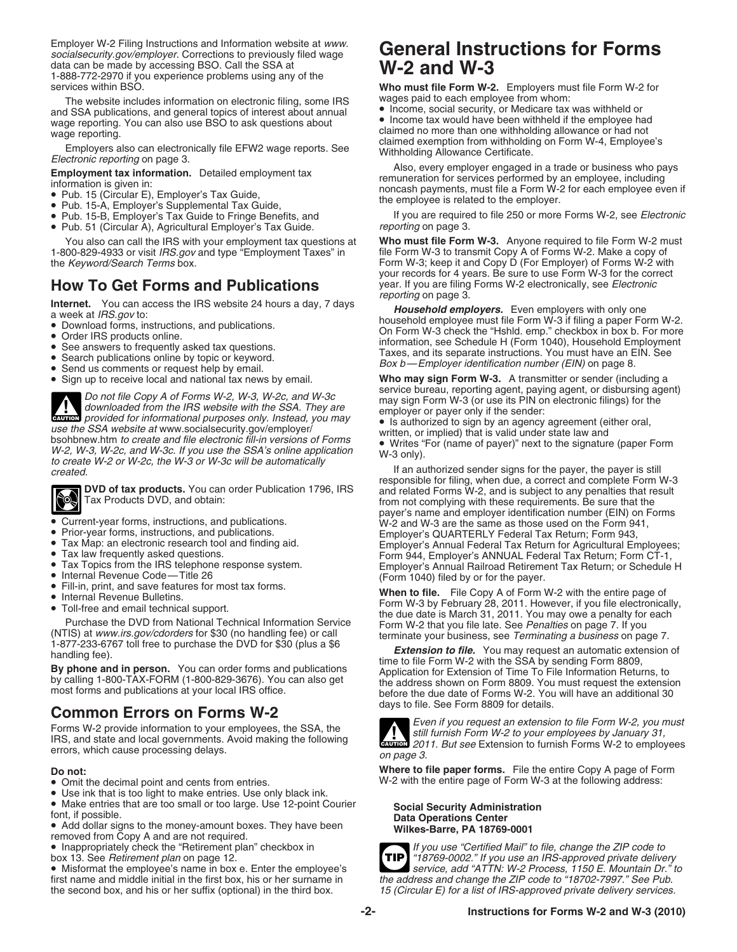Employer W-2 Filing Instructions and Information website at www.<br>socialsecurity.gov/employer. Corrections to previously filed wage data can be made by accessing BSO. Call the SSA at 1-888-772-2970 if you experience problems using any of the services within BSO.

The website includes information on electronic filing, some IRS wages paid to each employee from whom:<br>and SSA publications, and general topics of interest about annual . Income, social security, or Medicare tax was withhe wage reporting. You can also use BSO to ask questions about • Income tax would have been withheld if the employee had not example of the employee had not example of the employee had not claimed no more than one withholding

- 
- 
- 
- Pub. 51 (Circular A), Agricultural Employer's Tax Guide.

1-800-829-4933 or visit IRS.gov and type "Employment Taxes" in the Keyword/Search Terms box.

## **How To Get Forms and Publications** *year.* If you are filing **Forms and Publications**

- 
- 
- 
- 
- 
- 

Do not file Copy A of Forms W-2, W-3, W-2c, and W-3c<br>downloaded from the IRS website with the SSA. They are<br>not provided for informational purposes only. Instead, you may<br>use the SSA website at www.socialsecurity.gov/emplo For the IRS website with the SSA. They are<br>
the SSA website at www.socialsecurity.gov/employer or payer only if the sender.<br>
use the SSA website at www.socialsecurity.gov/employer/<br>
bsohbnew.htm to create and file electron

- 
- 
- 
- 
- 
- 
- 
- 
- 

errors, which cause processing delays.<br>on page 3.

- 
- Use ink that is too light to make entries. Use only black ink.
- Make entries that are too small or too large. Use 12-point Courier<br>
font, if possible.<br>
 Add dollar signs to the money-amount boxes. They have been<br>
 Add dollar signs to the money-amount boxes. They have been<br>
 Inappr
- 
- Inappropriately check the "Retirement plan" checkbox in box 13. See *Retirement plan* on page 12.
- 

first name and middle initial in the first box, his or her surname in the address and change the ZIP code to "18702-7997." See Pub. the second box, and his or her suffix (optional) in the third box. 15 (Circular E) for a list of IRS-approved private delivery services.

# General Instructions for Forms<br>W-2 and W-3

Who must file Form W-2. Employers must file Form W-2 for wages paid to each employee from whom:

claimed no more than one withholding allowance or had not claimed exemption from withholding on Form W-4, Employee's

Employers also can electronically file EFW2 wage reports. See<br>
Electronic reporting on page 3.<br>
Electronic reporting on page 3.<br> **Employment tax information.** Detailed employment tax<br>
information is given in:<br>
• Pub. 15 (C

• Pub. 15-A, Employer's Supplemental Tax Guide,<br>• Pub. 15-B, Employer's Tax Guide to Fringe Benefits, and If you are required to file 250 or more Forms W-2, see *Electronic*<br>• Pub. 51 (Circular A), Agricultural Employer's

You also can call the IRS with your employment tax questions at **Who must file Form W-3.** Anyone required to file Form W-2 must 100-829-4933 or visit *IRS gov* and type "Employment Taxes" in file Form W-3 to transmit Copy Form W-3; keep it and Copy D (For Employer) of Forms W-2 with your records for 4 years. Be sure to use Form W-3 for the correct year. If you are filing Forms W-2 electronically, see Electronic

**Internet.** You can access the IRS website 24 hours a day, 7 days<br>
Nevek at *IRS* covided complement and the Section of the Section of the Section of the Section of the Section of the Section of the Section of the Section

• Send us comments or request help by email.<br>• Sign up to receive local and national tax news by email. **Who may sign Form W-3.** A transmitter or sender (including a<br>**Who may sign Form W-3.** A transmitter or sender (includ

r an authorized sender signs for the payer, the payer is still<br> **EXECUTE:** THE MAN TO SERVE THE MAN TO SALE THE MAN TO SALE THE MAN TO SALE THE MAN TO SALE THE MAN TO SALE THE MAN TO SALE THE MAN TO SALE THE MAN TO SALE TH • Current-year forms, instructions, and publications.<br>
• Prior-year forms, instructions, and publications.<br>
• Five-year forms, instructions, and publications.<br>
• Tax Map: an electronic research tool and finding aid.<br>
• Ta



**Common Errors on Forms W-2**<br>
Forms W-2 provide information to your employees, the SSA, the<br>
IRS, and state and local governments. Avoid making the following<br>
IRS, and state and local governments. Avoid making the followin **EXULTER** 2011. But see Extension to furnish Forms W-2 to employees

**Do not: Where to file paper forms.** File the entire Copy A page of Form • Omit the decimal point and cents from entries. W-2 with the entire page of Form W-3 at the following address:



box 13. See Retirement plan on page 12. "<br>• Misformat the employee's name in box e. Enter the employee's service, add "ATTN: W-2 Process, 1150 E. Mountain Dr." t • Misformat the employee's name in box e. Enter the employee's service, add "ATTN: W-2 Process, 1150 E. Mountain Dr." to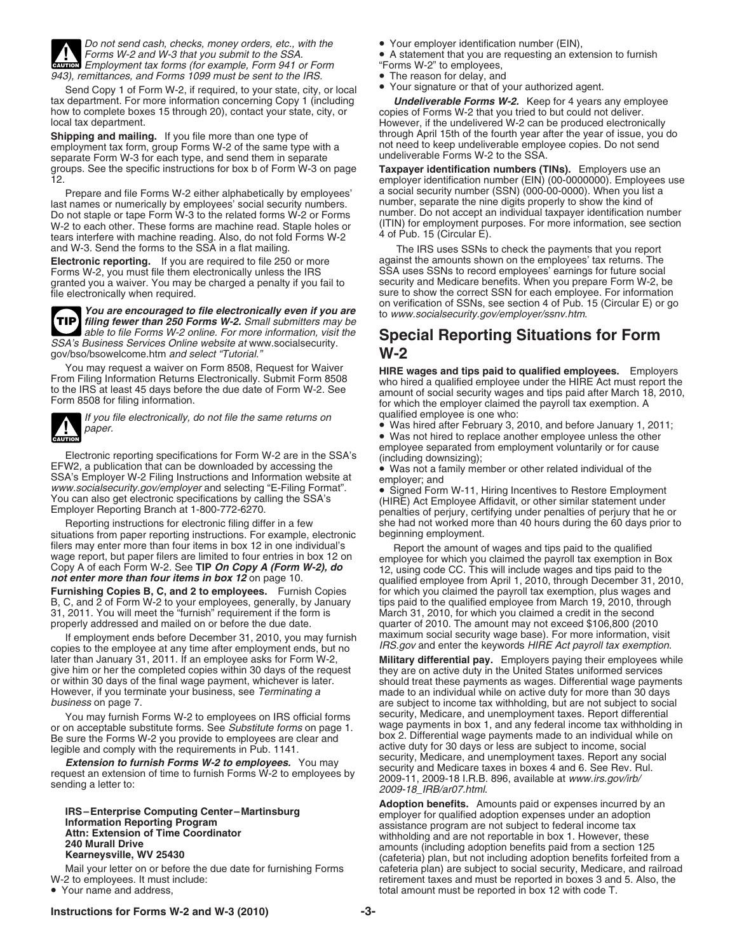

Do not send cash, checks, money orders, etc., with the • Your employer identification number (EIN),<br>Forms W-2 and W-3 that you submit to the SSA. • • A statement that you are requesting an ext **CAUTION** External W-2 and W-3 that you submit to the SSA.<br> **Employment tax forms** (for example, Form 941 or Form "Forms W-2" to employees, 943), remittances, and Forms 1099 must be sent to the IRS.<br>Send Copy 1 of Form W-2 if required to your state city or local Cour signature or that of your authorized agent.

Send Copy 1 of Form W-2, if required, to your state, city, or local  $\bullet$  Your signature or that of your authorized agent.<br>
Separtment. For more information concerning Copy 1 (including **Undeliverable Forms W-2.** Keep for 4 tax department. For more information concerning Copy 1 (including **Undeliverable Forms W-2**. Keep for 4 years any emp<br>how to complete boxes 15 through 20), contact your state, city, or copies of Forms W-2 that you tried to how to complete boxes 15 through 20), contact your state, city, or local tax department. However, if the undelivered W-2 can be produced electronically

employment tax form, group Forms W-2 of the same type with a not need to keep undeliverable employment tax forms over the send them in senarate. separate Form W-3 for each type, and send them in separate groups. See the specific instructions for box b of Form W-3 on page **Taxpayer identification numbers (TINs).** Employers use an

W-2 to each other. These forms are machine read. Staple holes or (ITIN) for employment purpose. W-2 to each purpose information. These section of the formation of the formation, see section, see section, see section, see s tears interfere with machine reading. Also, do not fold Forms W-2 and W-3. Send the forms to the SSA in a flat mailing.

**Electronic reporting.** If you are required to file 250 or more against the amounts shown on the employees' tax returns. The Forms W-2, you must file them electronically unless the IRS SSA uses SSNs to record employees' ea granted you a waiver. You may be charged a penalty if you fail to

You are encouraged to file electronically even if you are<br>filing fewer than 250 Forms W-2. Small submitters may be able to file Forms W-2 online. For more information, visit the SSA's Business Services Online website at www.socialsecurity. **TIP** gov/bso/bsowelcome.htm and select "Tutorial."



If you file electronically, do not file the same returns on

Electronic reporting specifications for Form W-2 are in the SSA's<br>EFW2, a publication that can be downloaded by accessing the<br>SSA's Employer W-2 Filing Instructions and Information website at<br>SSA's Employer W-2 Filing Inst

situations from paper reporting instructions. For example, electronic filers may enter more than four items in box 12 in one individual's<br>wage report, but paper filers are limited to four entries in box 12 on<br>Copy A of each Form W-2. See **TIP On Copy A (Form W-2), do**<br>not enter more than fo

**Furnishing Copies B, C, and 2 to employees.** Furnish Copies for which you claimed the payroll tax exemption, plus wages and B, C, and 2 of Form W-2 to your employees, generally, by January tips paid to the qualified emplo B, C, and 2 of Form W-2 to your employees, generally, by January tips paid to the qualified employee from March 19, 2010, through 31, 2010, through 31, 2010, to which you claimed a credit in the second 31, 2011. You will meet the "furnish" requirement if the form is

If employment ends before December 31, 2010, you may furnish<br>copies to the employee at any time after employment ends, but no<br>later than January 31, 2011. If an employee asks for Form W-2,<br>later than January 31, 2011. If a give him or her the completed copies within 30 days of the request they are on active duty in the United States uniformed services<br>or within 30 days of the final wage payment, whichever is later. Should treat these payment However, if you terminate your business, see Terminating a made to an individual while on active duty for more than 30 days business on page 7. **Are subject to income tax withholding**, but are not subject to social

or on acceptable substitute forms. See *Substitute forms* on page 1. Wage payments in box 1, and any rederal income tax withholding in the Forms withholding in or on acceptable substitute forms. See Substitute forms on pag Be sure the Forms W-2 you provide to employees are clear and box 2. Differential wage payments made to an individual while only in equirements in Pub. 1141.

- A statement that you are requesting an extension to furnish "Forms W-2" to employees,
- 
- 
- 

**Shipping and mailing.** If you file more than one type of through April 15th of the fourth year after the year of issue, you do employment tax form, group Forms W-2 of the same type with a not need to keep undeliverable em

employer identification number (EIN) (00-0000000). Employees use Prepare and file Forms W-2 either alphabetically by employees' a social security number (SSN) (000-00-0000). When you list a<br>I names or numerically by employees' social security numbers. I number, separate the nine digits last names or numerically by employees' social security numbers. Thumber, separate the nine digits properly to show the kind of last names or number both of last names or number Do not accept an individual taxpayer identif Do not staple or tape Form W-3 to the related forms W-2 or Forms number. Do not accept an individual taxpayer identification number<br>W-2 to each other. These forms are machine read. Staple holes or (ITIN) for employment pur

The IRS uses SSNs to check the payments that you report SSA uses SSNs to record employees' earnings for future social<br>security and Medicare benefits. When you prepare Form W-2, be file electronically when required.<br>
sure to show the correct SSN for each employee. For information<br>
in the correct SSN see section 4 of Pub. 15 (Circular E) or go

# Special Reporting Situations for Form<br>W-2

You may request a waiver on Form 8508, Request for Waiver<br>
From Filing Information Returns Electronically. Submit Form 8508<br>
to the IRS at least 45 days before the due date of Form W-2. See<br>
Form 8508 for filing informatio

paper.<br>
• Was hired after February 3, 2010, and before January 1, 2011;<br>
• Was hired after February 3, 2010, and before January 1, 2011; • Was not hired to replace another employee unless the other employee separated from employment voluntarily or for cause

Reporting instructions for electronic filing differ in a few she had not worked more than 40 hours during the 60 days prior to actions for metal in a few she had not worked more than 40 hours during the 60 days prior to

properly addressed and mailed on or before the due date.<br>If employment ends before December 31, 2010, you may furnish maximum social security wage base). For more information, visit

Military differential pay. Employers paying their employees while should treat these payments as wages. Differential wage payments You may furnish Forms W-2 to employees on IRS official forms security, Medicare, and unemployment taxes. Report differential<br>On acceptable substitute forms, See *Substitute forms* on page 1. The wage payments in box 1, and **Extension to furnish Forms W-2 to employees.** You may<br>request an extension of time to furnish Forms W-2 to employees. You may<br>security and Medicare taxes in boxes 4 and 6. See Rev. Rul.<br>sending a letter to: 2009-18 I.R.B.

**Adoption benefits.** Amounts paid or expenses incurred by an<br> **Adoption benefits.** Amounts paid or expenses incurred by an<br> **Adoption benefits.** Amounts paid or expenses under an adoption<br> **Adoption benefits.** Amounts paid Rearneysville, wv 25430<br>Mail your letter on or before the due date for furnishing Forms cafeteria plan, but not including adoption benefits forfeited from a<br>W-2 to employees. It must include: we are the due date for furnis W-2 to employees. It must include: retirement taxes and must be reported in boxes 3 and 5. Also, the<br>• Your name and address, the state of the state of the state and must be reported in box 12 with code T. total amount must be reported in box 12 with code T.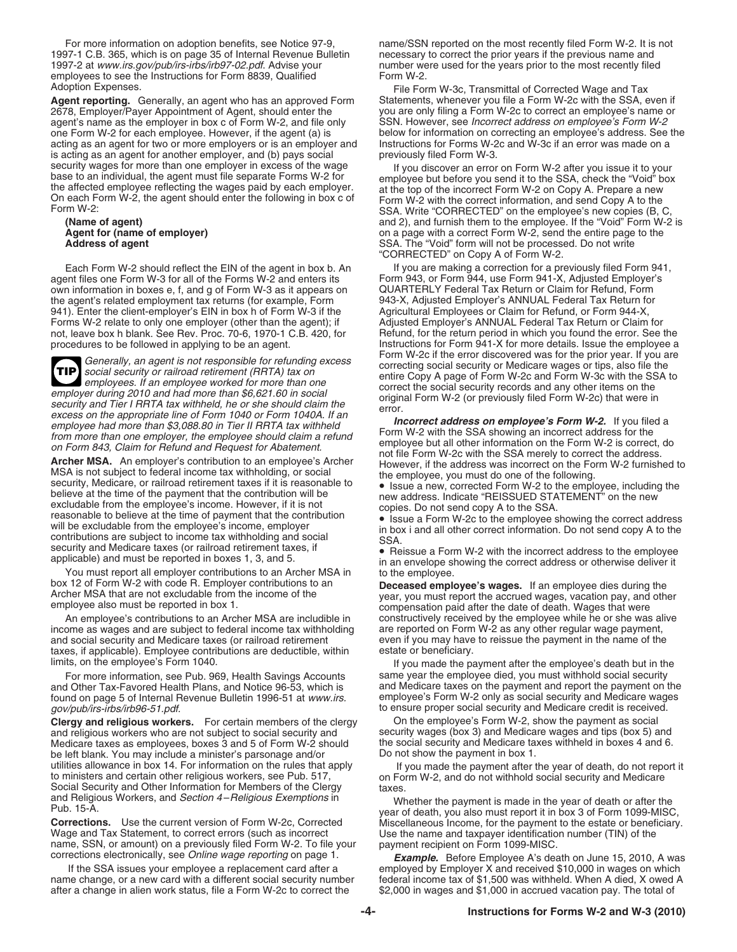1997-1 C.B. 365, which is on page 35 of Internal Revenue Bulletin 1997-2 at www.irs.gov/pub/irs-irbs/irb97-02.pdf. Advise your employees to see the Instructions for Form 8839, Qualified Form W-2. Adoption Expenses. The Form W-3c, Transmittal of Corrected Wage and Tax

Agent reporting. Generally, an agent who has an approved Form Statements, whenever you file a Form W-2c with the SSA, even if<br>2678, Employer/Payer Appointment of Agent, should enter the you are only filing a Form W-2c to c 2678, Employer/Payer Appointment of Agent, should enter the you are only filing a Form W-2c to correct an employee's name or agent's name as the employer in box c of Form W-2, and file only SSN. However, see *Incorrect add* agent's name as the employer in box c of Form W-2, and file only one Form W-2 for each employee. However, if the agent (a) is acting as an agent for two or more employers or is an employer and lnstructions for Forms W-2c is acting as an agent for another employer, and (b) pays social previously filed Form W-3. is acting as an agent for another employer, and (b) pays social security wages for more than one employer in excess of the wage

agent files one Form W-3 for all of the Forms W-2 and enters its Form 943, or Form 944, use Form 941-X, Adjusted Employer<br>own information in boxes e, f, and g of Form W-3 as it appears on QUARTERLY Federal Tax Return or Cl own information in boxes e, f, and g of Form W-3 as it appears on QUARTERLY Federal Tax Return or Claim for Refund, Form<br>the agent's related employment tax returns (for example, Form 943-X, Adjusted Employer's ANNUAL Feder the agent's related employment tax returns (for example, Form 943-X, Adjusted Employer's ANNUAL Federal Tax Return for Saturn for Saturn for Saturn for Saturn for Saturn for Saturn for Saturn for Saturn for Saturn for Satu 941). Enter the client-employer's EIN in box h of Form W-3 if the Agricultural Employees or Claim for Refund, or Form 944-X, 944-X, Form 944-X, 641 and the Agent); if Adjusted Employer's ANNUAL Federal Tax Return or Claim Forms W-2 relate to only one employer (other than the agent); if and adjusted Employer's ANNUAL Federal Tax Return or Claim for<br>The Return of Adjusted Employer of the than the Adjusted Employer's ANNUAL Federal Tax Return not, leave box h blank. See Rev. Proc. 70-6, 1970-1 C.B. 420, for

Generally, an agent is not responsible for refunding excess<br>
social security or railroad retirement (RRTA) tax on<br>
employees. If an employee worked for more than one<br>
employees. If an employee worked for more than one<br>
emp **TIP**

**Example the social security records** and any other items on the proper during 2010 and had more than \$6,621.60 in social<br>
security record the social security records and any other items on the<br>
security and Ter I RHTA ta

You must report all employer contributions to an Archer MSA in to the employee.<br>box 12 of Form W-2 with code R. Employer contributions to an **Deceased employer** 

An employee's contributions to an Archer MSA are includible in income as wages and are subject to federal income tax withholding are reported on Form W-2 as any other regular wage payment, and social security and Medicare taxes (or railroad retirement even if you may have to reissue t taxes, if applicable). Employee contributions are deductible, within limits, on the employee's Form 1040.

and Other Tax-Favored Health Plans, and Notice 96-53, which is found on page 5 of Internal Revenue Bulletin 1996-51 at www.irs. gov/pub/irs-irbs/irb96-51.pdf.<br>Clergy and religious workers. For certain members of the clergy Clergy Clergy Clergy Sorm W-2, show the payment as social

**Clergy and religious workers.** For certain members of the clergy CD the employee's Form W-2, show the payment as social and religious workers who are not subject to social security and Security wages (box 3) and Medicare and religious workers who are not subject to social security and security wages (box 3) and Medicare wages and tips (box 5) and<br>Medicare taxes as employees, boxes 3 and 5 of Form W-2 should the social security and Medicare Medicare taxes as employees, boxes 3 and 5 of Form W-2 should the social security and Medicare tax<br>be left blank. You may include a minister's parsonage and/or Do not show the payment in box 1. be left blank. You may include a minister's parsonage and/or utilities allowance in box 14. For information on the rules that apply utilities allowance in box 14. For information on the rules that apply lf you made the payment after the year of death, do not report it<br>to ministers and certain other religious workers, see Pub. 517, on Form W-2, and do n Social Security and Other Information for Members of the Clergy<br>and Religious Workers, and Section 4–Religious Exemptions in

**Corrections.** Use the current version of Form W-2c, Corrected Miscellaneous Income, for the payment to the estate or beneficiary. Wage and Tax Statement, to correct errors (such as incorrect Wester All Statement, and taxp name, SSN, or amount) on a previously filed Form W-2. To file your

after a change in alien work status, file a Form W-2c to correct the

For more information on adoption benefits, see Notice 97-9, name/SSN reported on the most recently filed Form W-2. It is not Form W-2. It is not and the provious name and the previous name and number were used for the years prior to the most recently filed

below for information on correcting an employee's address. See the Instructions for Forms W-2c and W-3c if an error was made on a

security wages for more than one employer in excess of the wage<br>base to an individual, the agent must file separate Forms W-2 for<br>the affected employee reflecting the wages paid by each employer.<br>On each Form W-2, the agen **(Name of agent)** and 2), and furnish them to the employee. If the "Void" Form W-2 is<br> **Agent for (name of employer)** entire page with a correct Form W-2, send the entire page to the Agent for (name of employer) **Agent for (name of employer)** on a page with a correct Form W-2, send the entire page to the **Address of agent** SSA. The "Void" form will not be processed. Do not write "CORRECTED" on Copy A of Form W-2.

Each Form W-2 should reflect the EIN of the agent in box b. An If you are making a correction for a previously filed Form 941,<br>
ent files one Form W-3 for all of the Forms W-2 and enters its Form 943, or Form 944, use Form procedures to be followed in applying to be an agent. Instructions for Form 941-X for more details. Issue the employee a<br>Form W-2c if the error discovered was for the prior year. If you are

box 12 of Form W-2 with code H. Employer contributions to an **Deceased employee's wages.** If an employee dies during the Archer MSA that are not excludable from the income of the year, you must report the accrued wages, va even if you may have to reissue the payment in the name of the estate or beneficiary.

If you made the payment after the employee's death but in the For more information, see Pub. 969, Health Savings Accounts same year the employee died, you must withhold social security<br>d Other Tax-Favored Health Plans, and Notice 96-53, which is and Medicare taxes on the payment and employee's Form W-2 only as social security and Medicare wages

and Religious Workers, and Section 4–Religious Exemptions in<br>Pub. 15-A.<br>**Corrections.** Use the current version of Form W-2c. Corrected Miscellaneous Income for the nayment to the estate or beneficiantly Use the name and tax payer identification number (TIN) of the payment recipient on Form 1099-MISC.

corrections electronically, see Online wage reporting on page 1. *Example.* Before Employee A's death on June 15, 2010, A was employed by Employer X and received \$10,000 in wages on which name change, or a new card with a different social security number federal income tax of \$1,500 was withheld. When A died, X owed A after a change in alien work status, file a Form W-2c to correct the \$2,000 in wages and \$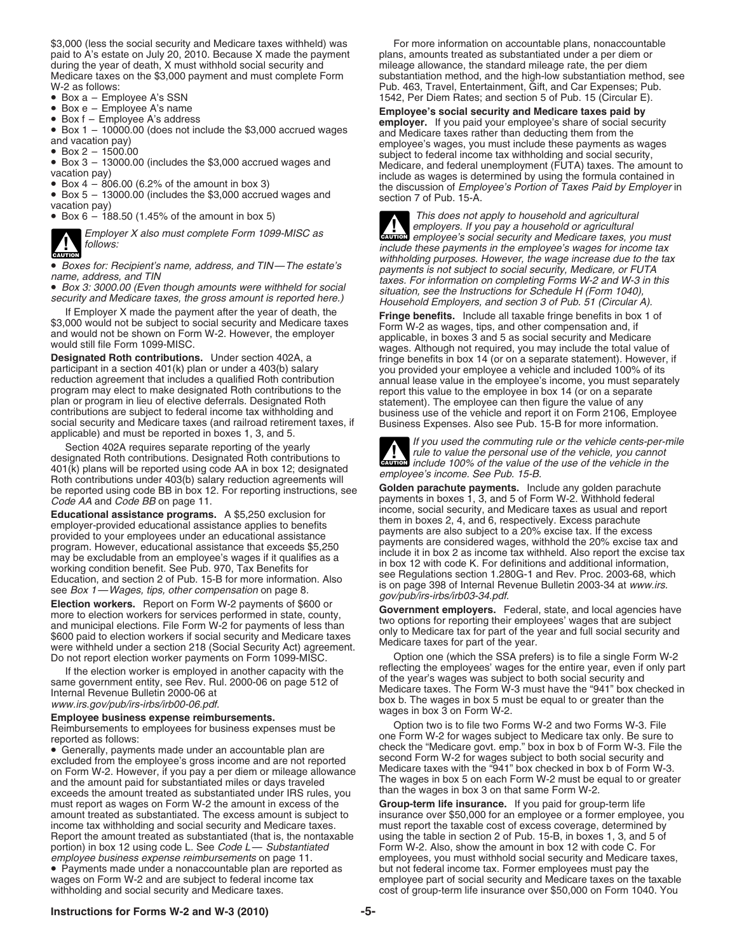\$3,000 (less the social security and Medicare taxes withheld) was For more information on accountable plans, nonaccountable<br>paid to A's estate on July 20, 2010. Because X made the payment plans, amounts treated as substant paid to A's estate on July 20, 2010. Because X made the payment plans, amounts treated as substantiated under a per diem or diem or diem or diem or diem or diem or diem or diem or diem or diem or diem or diem or diem or di during the year of death, X must withhold social security and mileage allow miles allow miles and mileage rate, the mileage rate, the mileage rate, the mileage rate, the mileage rate, the mileage rate, the per mileage rate

- 
- 
- 

**!**

designated Northoutines. Designated Northoutines to<br>
And Record Hoth contributions under 403(b) salary reduction agreements will<br>
Not contributions with the employee's income. See Pub. 15-B.<br>
Roth contributions under 403(b

were withheld under a section 218 (Social Security Act) agreement.<br>Do not report election worker payments on Form 1099-MISC. Option one (which the SSA prefers) is to file a single Form W-2<br>If the election worker is employe

must report as wages on Form W-2 the amount in excess of the **Group-term life insurance.** If you paid for group-term life amount treated as substantiated. The excess amount is subject to insurance over \$50,000 for an emplo income tax withholding and social security and Medicare taxes. must report the taxable cost of excess coverage, determined by<br>Report the amount treated as substantiated (that is, the nontaxable using the table in section 2 Report the amount treated as substantiated (that is, the nontaxable using the table in section 2 of Pub. 15-B, in boxes 1, 3, and 5 portion) in box 12 with code C. For extion in box 12 with code C. For portion) in box 12 using code L. See Code  $L-$  Substantiated employee business expense reimbursements on page 11. employees, you must withhold social security and Medicare taxes,

• Payments made under a nonaccountable plan are reported as but not federal income tax. Former employees must pay the

Medicare taxes on the \$3,000 payment and must complete Form substantiation method, and the high-low substantiation method, see<br>W-2 as follows: Pub. 463, Travel, Entertainment, Gift, and Car Expenses; Pub. W-2 as follows: Pub. 463, Travel, Entertainment, Gift, and Car Expenses; Pub.<br>
• Box a – Employee A's SSN Travel, Entertainment, Gift, and Car Expenses; Pub. 15 (Circular E). • Box a – Employee A's SSN 1542, Per Diem Rates; and section 5 of Pub. 15 (Circular E).<br>• Box e – Employee A's name

■ Box e – Employee A's name<br>
■ Box f – Employee A's address<br>
and vacation pay)<br>
and vacation pay)<br>
and vacation pay)<br>
and vacation pay)<br>
and vacation pay)<br>
and vacation pay)<br>
and vacation pay)<br>
and vacation pay)<br>
and Med



vacation pay)<br>• Box 6 – 188.50 (1.45% of the amount in box 5)<br>Figure 1.1 This does not apply to household and agricultural<br>Figure 1.1 This does not apply to household or agricultural Employer X also must complete Form 1099-MISC as **CAUTION** employee's social security and Medicare taxes, you must complete Form 1099-MISC as **CAUTION** employee's social security and Medicare taxes, you must follows: **!** include these payments in the employee's wages for income tax withholding purposes. However, the wage increase due to the tax • Boxes for: Recipient's name, address, and TIN—The estate's withholding purposes. However, the wage increase due to the tax<br>• Box 3: 3000.00 (Even though amounts were withheld for social structure, see the Instructions f

If Employer X made the payment after the year of death, the<br>
\$3,000 would not be subject to social security and Mediciare taxes<br>
and would not be subject to scoial security and Mediciare taxes<br>
and would not be subject to



Code AA and Code BB on page 11.<br> **Educational assistance programs.** A \$5,250 exclusion for<br> **Educational assistance programs.** A \$5,250 exclusion for<br>
employeer provided elucational assistance applies to benefits<br>
provide

If the election worker is employed in another capacity with the<br>same government entity, see Rev. Rul. 2000-06 on page 512 of<br>Internal Revenue Bulletin 2000-06 at<br>Internal Revenue Bulletin 2000-06 at<br>www.irs.gov/pub/irs-irb

Employee business expense reimbursements.<br>
Reimbursements to employees for business expenses must be Option two is to file two Forms W-2 and two Forms W-3. File<br>
one Form W-2 for wages subject to Medicare tax only. Be sure Feported as follows:<br>
• Generally, payments made under an accountable plan are<br>
• Generally, payments made under an accountable plan are<br>
• Generally, payments made under an accountable plan are<br>
• Cenerally, payments made

insurance over \$50,000 for an employee or a former employee, you wages on Form W-2 and are subject to federal income tax employee part of social security and Medicare taxes on the taxable<br>withholding and social security and Medicare taxes. expansion of group-term life insurance over \$50 cost of group-term life insurance over \$50,000 on Form 1040. You

### **Instructions for Forms W-2 and W-3 (2010) -5-**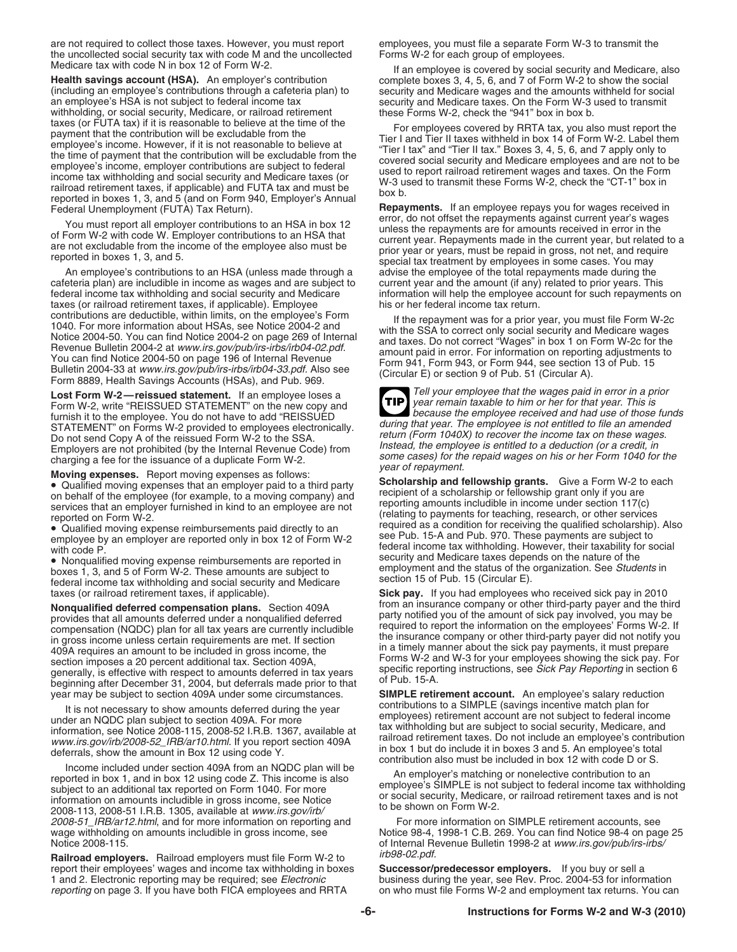are not required to collect those taxes. However, you must report employees, you must file a separate Form W-3 to transmit the the uncollected the uncollected the uncollected the uncollected the uncollected the uncollected the uncollected social security tax with code M and the uncollected

(including an employee's contributions through a cafeteria plan) to an employee's HSA is not subject to federal income tax withholding, or social security, Medicare, or railroad retirement taxes (or FUTA tax) if it is reasonable to believe at the time of the taxes (or FUTA tax) if it is reasonable to believe at the time of the<br>payment that the contribution will be excludable from the<br>employee's income. However, if it is not reasonable to believe at<br>the time of payment that the reported in boxes 1, 3, and 5 (and on Form 940, Employer's Annual Federal Unemployee repays you for wages received in<br>Federal Unemployment (FUTA) Tax Return).<br>Nou must against current year's wages

An employee's contributions to an HSA (unless made through a advise the employee of the total repayments made during the<br>eteria plan) are includible in income as wages and are subject to acurrent year and the amount (if an cafeteria plan) are includible in income as wages and are subject to federal income tax withholding and social security and Medicare information will help the employee account for such repayments on taxes (or railroad retirement taxes, if applicable). Employee  $\frac{1}{2}$  his or her federal i taxes (or railroad retirement taxes, if applicable). Employee contributions are deductible, within limits, on the employee's Form contributions are deductible, within limits, on the employee's Form and the repayment was for a prior year, you must file Form W-2c 1040. For more information about HSAs, see Notice 2004-2 and Notice 2004-50. You can find

STATEMENT" on Forms W-2 provided to employees electronically. during that year. The employee is not entitled to file an amended STATEMENT" on Forms W-2 provided to employees electronically. during that year. The employee i

taxes (or railroad retirement taxes, if applicable). **Sick pay.** If you had employees who received sick pay in 2010

**Nonqualified deferred compensation plans.** Section 409A<br>provides that all amounts deferred under a nonqualified deferred<br>compensation (NQDC) plan for all tax years are currently includible<br>in gross income unless certain

Contribution also must be included in box 12 with code D or S.<br>
Income included under section 409A from an NQDC plan will be<br>
reported in box 1, and in box 12 using code Z. This income is also<br>
subject to an additional tax 2008-51\_IRB/ar12.html, and for more information on reporting and wage withholding on amounts includible in gross income, see

Railroad employers. Railroad employers must file Form W-2 to *irb98-02.pdf.*<br>report their employees' wages and income tax withholding in boxes **Successor/predecessor employers.** If you buy or sell a report their employees' wages and income tax withholding in boxes 1 and 2. Electronic reporting may be required; see Electronic business during the year, see Rev. Proc. 2004-53 for information reporting on page 3. If you have both FICA employees and RRTA on who must file Forms W-2 and em

Medicare tax with code N in box 12 of Form W-2. If an employee is covered by social security and Medicare, also<br>Health savings account (HSA). An employer's contribution complete boxes 3, 4, 5, 6, and 7 of Form W-2 to show complete boxes 3, 4, 5, 6, and 7 of Form W-2 to show the social security and Medicare wages and the amounts withheld for social security and Medicare taxes. On the Form W-3 used to transmit these Forms W-2, check the "941" box in box b.

You must report all employer contributions to an HSA in box 12<br>of Form W-2 with code W. Employer contributions to an HSA in box 12<br>of Form W-2 with code W. Employer contributions to an HSA that<br>are not excludable from the

Lost Form W-2—reissued statement. If an employee loses a<br>Form W-2, write "REISSUED STATEMENT" on the new copy and<br>furnish it to the employee. You do not have to add "REISSUED<br>decrease the employee of the employee of the st **TIP** return (Form 1040X) to recover the income tax on these wages.<br>Instead, the employee is entitled to a deduction (or a credit, in

Employers are not prohibited (by the Internal Revenue Code) from the stand, the employee is entitled to a deduction (or a credit, in charging a fee for the issuance of a duplicate Form W-2.<br> **Moving expenses.** Report movi

year may be subject to section 409A under some circumstances. **SIMPLE retirement account.** An employee's salary reduction It is not necessary to show amounts deferred during the year<br>
under an NQDC plan subject to section 409A. For more<br>
information, see Notice 2008-115, 2008-52 I.R.B. 1367, available at<br>
information, see Notice 2008-115, 200

wage withholding on amounts includible in gross income, see Notice 98-4, 1998-1 C.B. 269. You can find Notice 98-4 on page 25<br>Notice 2008-115. Notice 2008-115. of Internal Revenue Bulletin 1998-2 at www.irs.gov/pub/irs-irbs/

on who must file Forms W-2 and employment tax returns. You can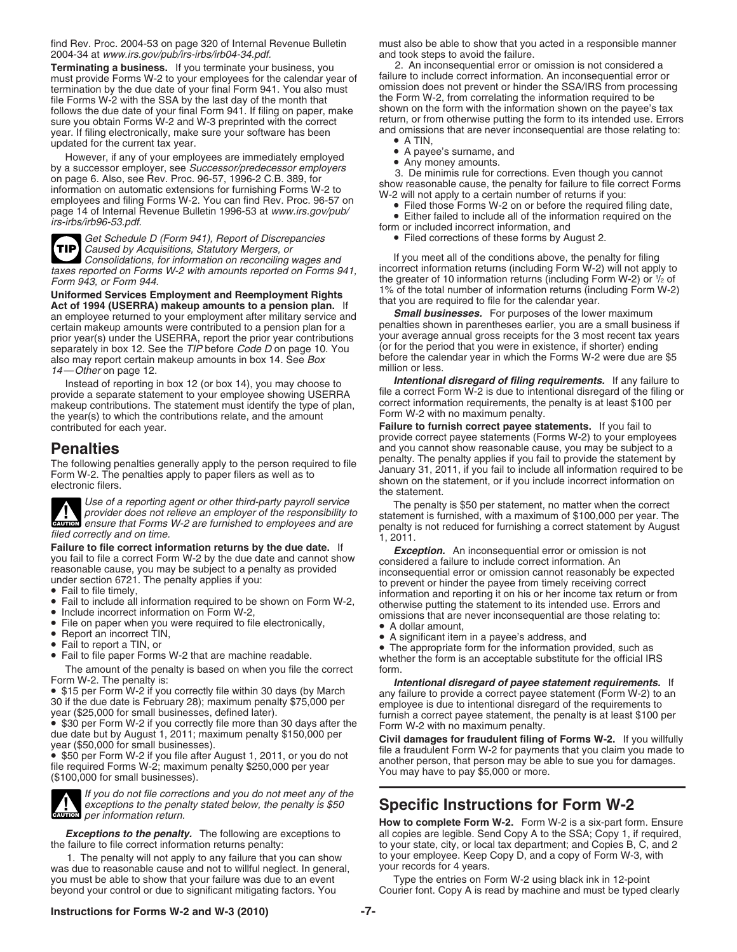2004-34 at www.irs.gov/pub/irs-irbs/irb04-34.pdf.<br> **Terminating a business.** If you terminate your business, you and took steps to avoid the failure.<br>
2. An inconsequential error or omission is not considered a

**Terminating a business.** If you terminate your business, you **2.** An inconsequential error or omission is not considered a must provide Forms W-2 to your employees for the calendar year of failure to include correct infor must provide Forms W-2 to your employees for the calendar year of failure to include correct information. An inconsequential error or<br>termination by the due date of your final Form 941. You also must omission does not prev termination by the due date of your final Form 941. You also must omission does not prevent or hinder the SSA/IRS from proces<br>file Forms W-2 with the SSA by the last day of the month that the Form W-2, from correlating the file Forms W-2 with the SSA by the last day of the month that the Form W-2, from correlating the information required to be<br>follows the due date of your final Form 941, If filing on paper, make shown on the form with the i follows the due date of your final Form 941. If filing on paper, make shown on the form with the information shown on the payee's tax<br>sure you obtain Forms W-2 and W-3 preprinted with the correct return, or from otherwise sure you obtain Forms W-2 and W-3 preprinted with the correct return, or from otherwise putting the form to its intended use. Errors<br>Wear, If filing electronically, make sure your software has been and omissions that are n year. If filing electronically, make sure your software has been and omissions that are never inconsequential are never inconsequential and omissions of a TIN. updated for the current tax year.<br> **•** A payee's surname, and<br> **•** A payee's surname, and

Explore the sections. Even though you cannot<br>the section is the section of page 6. Also, see Rev. Proc. 96-57, 1996-2 C.B. 389, for<br>employees and filing Forms W-2. You can find Rev. Proc. 96-53 at www.irs.gov/pub/<br>page 14

Get Schedule D (Form 941), Report of Discrepancies • Filed corrections of these forms by August 2. Caused by Acquisitions, Statutory Mergers, or **TIP** taxes reported on Forms W-2 with amounts reported on Forms 941,

Uniformed Services Employment and Reemployment Rights<br>Act of 1994 (USERRA) makeup amounts to a pension plan. If<br>an employee returned to your employment after military service and<br>an employee returned to your employment aft an employee returned to your employment after military service and certain makeup amounts were contributed to a pension plan for a prior year(s) under the USERRA, report the prior year contributions your average annual gross receipts for the 3 most recent tax y<br>Separately in hox 12, See the *TIP* before *Code D* on page 10, You (or for the period that separately in box 12. See the TIP before Code D on page 10. You also may report certain makeup amounts in box 14. See Box<br>  $14$  million or less.<br>
million or less. 14—Other on page 12.<br>Instead of reporting in box 12 (or box 14), you may choose to **Intentional disregard of filing requirements.** If any failure to

Intentional disregard of filling requirements. It any failure to<br>provide a separate statement to your employee showing USERRA file a correct Form W-2 is due to intentional disregard of the filing or<br>makeup contributions. T makeup contributions. The statement must identify the type of plan, correct information requirements, the penalty is at least  $\alpha$  per least  $\alpha$  per least  $\alpha$  per least  $\alpha$  per least  $\alpha$  per least  $\alpha$  per least  $\alpha$ the year(s) to which the contributions relate, and the amount contributed for each year.

**!**

Failure to file correct information returns by the due date. If<br>you fail to file a correct Form W-2 by the due date and cannot show<br>reasonable cause, you may be subject to a penalty as provided<br>inconsequential error or omi

- 
- 
- 
- 
- 
- 
- 

The amount of the penalty is based on when you file the correct form.<br>Form W-2. The penalty is:



If you do not file corrections and you do not meet any of the exceptions to the penalty stated below, the penalty is \$50 exceptions to the penalty stated below, the penalty is \$50 **Specific Instructions for Form W-2** per information return.

was due to reasonable cause and not to willful neglect. In general, your records for 4 years.<br>you must be able to show that your failure was due to an event Type the entries on Form W-2 using black ink in 12-point you must be able to show that your failure was due to an event beyond your control or due to significant mitigating factors. You

find Rev. Proc. 2004-53 on page 320 of Internal Revenue Bulletin must also be able to show that you acted in a responsible manner 2004-34 at www.irs.gov/pub/irs-irbs/irb04-34.pdf. and took steps to avoid the failure.

- 
- 

Consolidations, for information on reconciling wages and<br>
If you meet all of the conditions above, the penalty for filing<br>
eported on Forms W-2 with amounts reported on Forms 941 incorrect information returns (including Fo Form 943, or Form 944.<br> **the greater of 10 information returns (including Form W-2) or 1/2 of**<br> **Uniformed Services Employment and Beomployment Bights**<br>
<sup>1</sup>% of the total number of information returns (including Form W-2)

penalties shown in parentheses earlier, you are a small business if your average annual gross receipts for the 3 most recent tax years

Failure to furnish correct payee statements. If you fail to provide correct payee statements (Forms W-2) to your employees **Penalties**<br>The following penalties concrelly apply to the person required to file **by** penalty. The penalty applies if you fail to provide the statement by The following penalties generally apply to the person required to file<br>
Form W-2. The penalties apply to paper filers as well as to<br>
electronic filers.<br> *Use of a reporting agent or other third-party payroll service*<br> *Sho* 

Use of a reporting agent or other third-party payroll service<br>provider does not relieve an employer of the responsibility to<br>gensure that Forms W-2 are furnished to employees and are<br>gensure that Forms W-2 are furnished to **EXTEM** ensure that Forms W-2 are furnished to employees and are penalty is not reduced for furnishing a correct statement by August filed correctly and on time.

Frace and the section of 721. The penalty applies if you:<br>
• Fail to file timely,<br>
• Fail to file timely,<br>
• Fail to file timely,<br>
• File on paper when you were required to be shown on Form W-2,<br>
• File on paper when you

Form W-2. The penalty is:<br>
• \$15 per Form W-2 if you correctly file within 30 days (by March<br>
• \$15 per Form W-2 if you correctly file within 30 days (by March<br>
90 if the due date is rebutary 28); maximum penalty \$75,000

**How to complete Form W-2.** Form W-2 is a six-part form. Ensure **Exceptions to the penalty.** The following are exceptions to all copies are legible. Send Copy A to the SSA; Copy 1, if required, the failure to file correct information returns penalty: to your state, city, or local tax d to your state, city, or local tax department; and Copies B, C, and 2 1. The penalty will not apply to any failure that you can show to your employee. Keep Copy D, and a copy of Form W-3, with<br>s due to reasonable cause and not to willful neglect. In general, your records for 4 years.

Courier font. Copy A is read by machine and must be typed clearly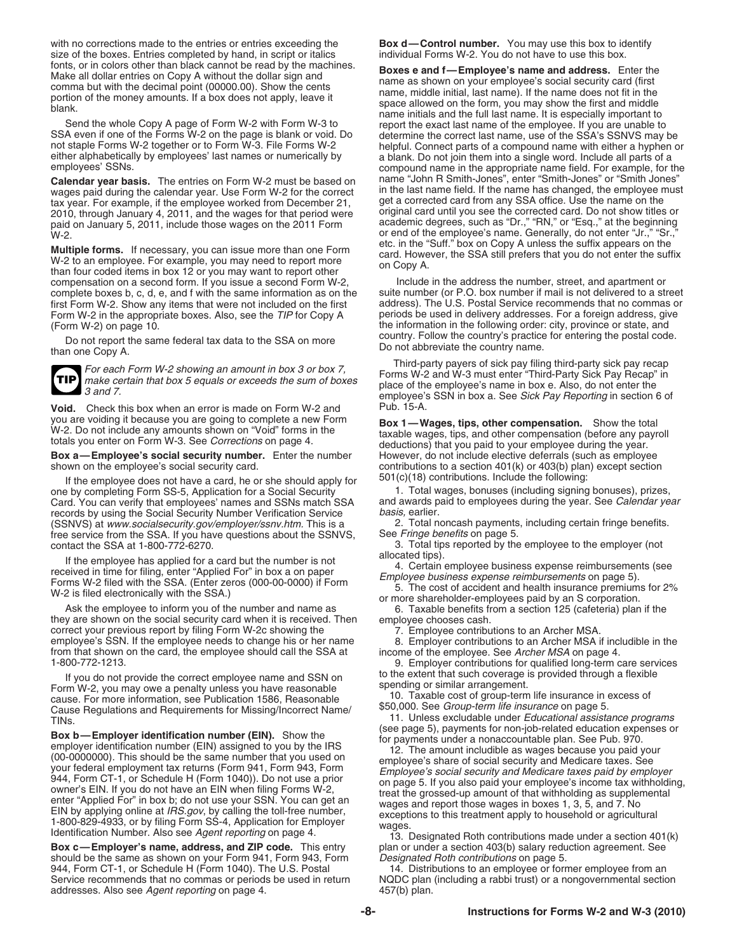with no corrections made to the entries or entries exceeding the **Box d—Control number.** You may use this box to identify size of the boxes. Entries completed by hand, in script or italics individual Forms W-2. You do not size of the boxes. Entries completed by hand, in script or italics fonts, or in colors other than black cannot be read by the machines.

Send the whole Copy A page of Form W-2 with Form W-3 to report the exact last name of the employee. If you are unable to SSA even if one of the Forms W-2 on the page is blank or void. Do determine the correct last name, us SSA even if one of the Forms W-2 on the page is blank or void. Do determine the correct last name, use of the SSA's SSNVS may be<br>not staple Forms W-2 together or to Form W-3. File Forms W-2 helpful. Connect parts of a comp

wages paid during the calendar year. Use Form W-2 for the correct in the last name field. If the name has changed, the employee h<br>tax year. For example, if the employee worked from December 21 get a corrected card from any tax year. For example, if the employee worked from December 21, 2010, through January 4, 2011, and the wages for that period were 2010, through January 4, 2011, and the wages for that period were original card until you see the corrected card. Do not show titles or paid on January 5, 2011, include those wages on the 2011 Form academic degrees, such as "Dr.," "RN," or "Esq.," at the beginning or end of the employee's name. Generally, do not enter "Jr.," "Sr.," W-2.

When the "Suff." box on Copy A unless the suffix appears on the<br>
We card. However, the SSA still prefers that you do not enter the suffix<br>
We card. However, the SSA still prefers that you do not enter the suffix<br>
than four compensation on a second form. If you issue a second Form W-2, linclude in the address the number, street, and apartment or complete boxes b, c, d, e, and f with the same information as on the suite number (or P.O. box num complete boxes b, c, d, e, and f with the same information as on the first Form W-2. Show any items that were not included on the first first Form W-2. Show any items that were not included on the first address). The U.S. Postal Service recommends that no commas or<br>Form W-2 in the appropriate boxes. Also, see the TIP for Copy A periods be used in delivery (Form W-2) on page 10. the information in the following order: city, province or state, and



**Void.** Check this box when an error is made on Form W-2 and you are voiding it because you are going to complete a new Form

**Box a—Employee's social security number.** Enter the number However, do not include elective deferrals (such as employee shown on the employee's social security card. <br>
contributions to a section 401(k) or 403(b) plan) exc

If the employee does not have a card, he or she should apply for  $501(c)(18)$  contributions. Include the following:<br>by completing Form SS-5, Application for a Social Security 1. Total wages, bonuses (including signing bonuse one by completing Form SS-5, Application for a Social Security **1.** Total wages, bonuses (including signing bonuses), prizes, Card. You can verify that employees' names and SSNs match SSA and awards paid to employees durin Card. You can verify that employees' names and SSNs match SSA and awards paid to entity the Social Security Number Verification Service basis, earlier. records by using the Social Security Number Verification Service basis, earlier.<br>(SSNVS) at www.socialsecurity.gov/employer/ssnv.htm. This is a 2. Total noncash payments, including certain fringe benefits. (SSNVS) at *www.socialsecurity.gov/employer/ssnv.htm.* This is a **comploments** including certain payments<br>free service from the SSA. If you have questions about the SSNVS, See Fringe benefits on page 5. free service from the SSA. If you have questions about the SSNVS, contact the SSA at 1-800-772-6270.

If the employee has applied for a card but the number is not<br>received in time for filing, enter "Applied For" in box a on paper<br>Forms W-2 filed with the SSA. (Enter zeros (000-00-0000) if Form<br>W-2 is filed electronically w

they are shown on the social security card when it is received. Then employee chooses cash.<br>
correct your previous report by filing Form W-2c showing the 7. Employee contributions to an Archer MSA. correct your previous report by filing Form W-2c showing the employee's SSN. If the employee needs to change his or her name from that shown on the card, the employee should call the SSA at 1-800-772-1213.

If you do not provide the correct employee name and SSN on<br>
Form W-2, you may owe a penalty unless you have reasonable<br>
cause. For more information, see Publication 1586, Reasonable<br>
Cause Requilations and Requirements for Cause Regulations and Requirements for Missing/Incorrect Name/ \$50,000. See Group-term life insurance on page 5.<br>TINs.<br>TINs.

TINs.<br> **EXECUTE:** TINS. The anontonion of the seculable under Educational assistance programs<br> **EXECUTE:** The anonon-of-of-payments for non-job-related education expenses or<br>
employer identification number (EIN) assigned

**Box c—Employer's name, address, and ZIP code.** This entry plan or under a section 403(b) salary reduction agreement. See should be the same as shown on your Form 941, Form 943, Form Designated Roth contributions on page 5.<br>944, Form CT-1, or Schedule H (Form 1040). The U.S. Postal 14. Distributions to an employee or former employee from an 944, Form CT-1, or Schedule H (Form 1040). The U.S. Postal Service recommends that no commas or periods be used in return<br>
addresses. Also see Agent reporting on page 4. <br>
457(b) plan. addresses. Also see Agent reporting on page 4.

For the column state of the manner of the ends of the whole Copy A page of Form W-2 with Form W-3 to<br>Send the exact last name of the employee's name and address. Enter the<br>Send the whole Copy A page of Form W-2 with Form W not staple Forms W-2 together or to Form W-3. File Forms W-2 helpful. Connect parts of a compound name with either a hyphen or<br>either alphabetically by employees' last names or numerically by a blank. Do not join them into either alphabetically by employees' last names or numerically by a blank. Do not join them into a single word. Include all parts of a employees' SSNs. compound name in the appropriate name field. For example, for the **Calendar year basis.** The entries on Form W-2 must be based on name "John R Smith-Jones", enter "Smith-Jones" or "Smith Jones"<br>wages paid during the calendar year. Use Form W-2 for the correct in the last name field. If t

periods be used in delivery addresses. For a foreign address, give Do not report the same federal tax data to the SSA on more country. Follow the country's practice for entering the postal code.<br>
Do not abbreviate the country name.

For each Form W-2 showing an amount in box 3 or box 7,<br>make certain that box 5 equals or exceeds the sum of boxes<br>3 and 7. employee's SSN in box a. See Sick Pay Reporting in section 6 of Pub. 15-A.

you are volding it because you are going to complete a new Form<br>W-2. Do not include any amounts shown on "Void" forms in the taxable wages, tips, and other compensation. Show the total<br>totals you enter on Form W-3. See *Co* contributions to a section  $401(k)$  or  $403(b)$  plan) except section

3. Total tips reported by the employee to the employer (not allocated tips).

6. Taxable benefits from a section 125 (cafeteria) plan if the

8. Employer contributions to an Archer MSA if includible in the income of the employee. See Archer MSA on page 4.

9. Employer contributions for qualified long-term care services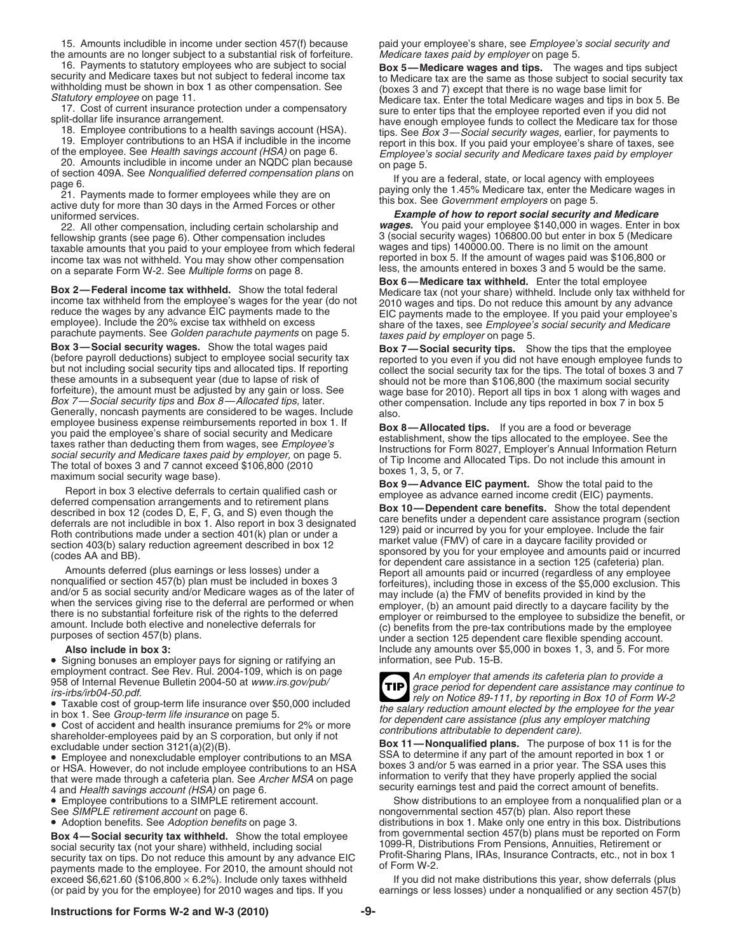the amounts are no longer subject to a substantial risk of forfeiture.<br>16. Payments to statutory employees who are subject to social

active duty for more than 30 days in the Armed Forces or other<br>**Example of how to report social security and Medicare**<br>**Example of how to report social security and Medicare** 

fellowship grants (see page 6). Other compensation includes 3 (social security wages) 106800.00 but enter in box 5 (Medicare Example and tips) 140000.00. There is no limit on the amount<br>income tax was not withheld. You may show other compensation<br>on a separate Form W-2. See *Multiple forms* on page 8.<br>on a separate Form W-2. See *Multiple forms* on a separate Form W-2. See Multiple forms on page 8.

**Box 3—Social security wages.** Show the total wages paid<br>
(before payroll deductions) subject to employee social security tax<br>
but not including social security tips and allocated tips. If reporting<br>
these amounts in a su

• Signing bonuses an employer pays for signing or ratifying an employment contract. See Rev. Rul. 2004-109, which is on page

security tax on tips. Do not reduce this amount by any advance EIC Profit-Sharing Plans, IRAs, Insurance Contracts, etc., not in box 1 payments made to the employee. For 2010, the amount should not of Form W-2.<br>exceed \$6,6 exceed \$6,621.60 (\$106,800  $\times$  6.2%). Include only taxes withheld (or paid by you for the employee) for 2010 wages and tips. If you

15. Amounts includible in income under section 457(f) because paid your employee's share, see Employee's social security and<br>e amounts are no longer subject to a substantial risk of forfeiture. Medicare taxes paid by emplo

16. Payments to statutory employees who are subject to social<br>security and Medicare wages and tips. The wages and tips subject<br>withholding must be shown in box 1 as other compensation. See<br>withholding must be shown in box

22. All other compensation, including certain scholarship and *wages.* You paid your employee \$140,000 in wages. Enter in box

**Box 2—Federal income tax withheld.** Show the total federal<br>income tax withheld from the employee's wages for the year (do not<br>reduce the wages by any advance EIC payments made to the<br>employee). Include the 20% excise tax

employee business expense reimbursements reported in box 1.1<br>
spy paid the employee's share of social security and Medicare<br>
staxes rather than deducing them from wages, see Employeis share of social security and Medicare **Also include in box 3:** Include any amounts over \$5,000 in boxes 1, 3, and 5. For more



Employment contract. See Hev. Hul. 2004-109, which is on page<br>
1958 of Internal Revenue Bulletin 2004-50 at *www.irs.gov/pub/*<br>
irs-irbs/irb04-50.pdf.<br>
TIP grace period for dependent care assistance may continue to<br>
TIP gr

• Taxable cost of group-term life insurance over \$50,000 included<br>
in box 1. See *Group-term life insurance* on page 5.<br>
• Cost of accident and health insurance premiums for 2% or more<br> **•** Cost of accident and health ins

• Employee contributions to a SIMPLE retirement account.<br>Show distributions to an employee from a nonquilitied plan or a<br>nongovernmental section 457(b) plan. Also report these See SIMPLE retirement account on page 6. nongovernmental section 457(b) plan. Also report these<br>• Adoption benefits. See Adoption benefits on page 3. distributions in box 1. Make only one entry in this box. distributions in box 1. Make only one entry in this box. Distributions **Box 4—Social security tax withheld.** Show the total employee from governmental section 457(b) plans must be reported on Form social security tax (not your share) withheld, including social security tax (not your share) wi

earnings or less losses) under a nonqualified or any section 457(b)

### **Instructions for Forms W-2 and W-3 (2010) -9-**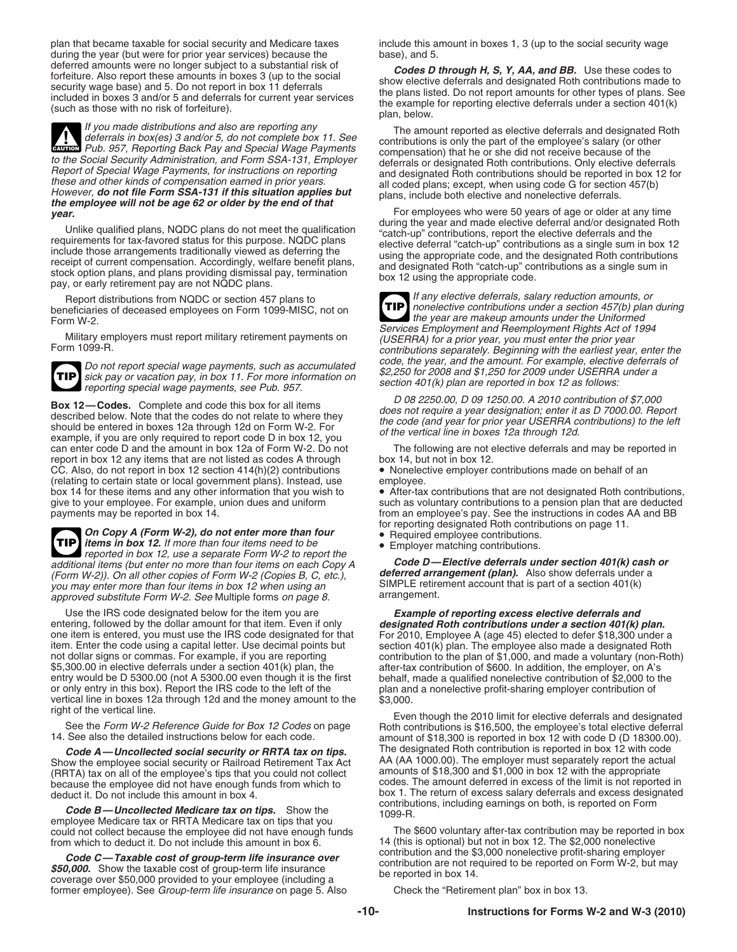plan that became taxable for social security and Medicare taxes include this amount in boxes 1, 3 (up to the social security wage during the vear (but were for prior year services) because the base), and 5. during the year (but were for prior year services) because the deferred amounts were no longer subject to a substantial risk of



to the Social Security Administration, and Form SSA-131, Employer<br>
Report of Special Wage Payments, for instructions on reporting<br>
these and other kinds of compensation earned in prior years.<br>
However, **do not file Form SS** 

Unlike qualified plans, NQDC plans do not meet the qualification<br>requirements for tax-favored status for this purpose. NQDC plans<br>include those arrangements traditionally viewed as deferring the<br>include those arrangements

Form W-2.



Do not report special wage payments, such as accumulated<br>sick pay or vacation pay, in box 11. For more information on \$2,250 for 2008 and \$1,250 for 2009 under USERRA under a<br>reporting special wage payments, see Pub. 957.

**Box 12—Codes.** Complete and code this box for all items<br>described below. Note that the codes do not relate to where they<br>should be entered in boxes 12a through 12d on Form W-2. For<br>example, if you are only required to rep can enter code D and the amount in box 12a of Form W-2. Do not The following are not election of report in box 12. report in box 12 any items that are not listed as codes A through box 14, but not in box 12.<br>CC. Also, do not report in box 12 section 414(h)(2) contributions • Nonelective employer contributions made on behalf of an CC. Also, do not report in box 12 section  $414(h)(2)$  contributions (relating to certain state or local government plans). Instead, use employee.<br>box 14 for these items and any other information that you wish to  $\bullet$  After-tax

**On Copy A (Form W-2), do not enter more than four**<br> **e** Required employee contributions.<br> **e** Required employee contributions.<br> **e** Employee contributions.<br> **e** Employee contributions.<br> **e** Employee contributions.<br> **e** E **TIP** additional items (but enter no more than four items on each Copy A **Code D—Elective deferrals under section 401(k) cash**<br>(Form W-2)), On all other copies of Form W-2 (Copies B, C, etc.), **deferred arrangement (plan).** Also (Form W-2)). On all other copies of Form W-2 (Copies B, C, etc.), **deferred arrangement (plan).** Also show deferrals under vou may enter more than four items in box 12 when using an you may enter more than four items in box 12 when using an SIMPLE retire<br>approved substitute Form W-2, See Multiple forms on page 8, and arrangement. approved substitute Form W-2. See Multiple forms on page 8.

Use the IRS code designated below for the item you are **Example of reporting excess elective deferrals and**<br>Intering, followed by the dollar amount for that item. Even if only designated Roth contributions under a section entering, followed by the dollar amount for that item. Even if only *designated Roth contributions under a section 401(k) plan.*<br>one item is entered, you must use the IRS code designated for that For 2010, Employee A (ag one item is entered, you must use the IRS code designated for that For 2010, Employee A (age 45) elected to defer \$18,300 under a item. Enter the code using a capital letter. Use decimal points but section 401(k) plan. The item. Enter the code using a capital letter. Use decimal points but section 401(k) plan. The employee also made a designated Roth not dollar signs or commas. For example, if you are reporting contribution to the plan of \$1 \$5,300.00 in elective deferrals under a section 401(k) plan, the after-tax contribution of \$600. In addition, the employer, on A's entry would be D 5300.00 (not A 5300.00 even though it is the first behalf, made a qualifie entry would be D 5300.00 (not A 5300.00 even though it is the first or only entry in this box). Report the IRS code to the left of the vertical line in boxes 12a through 12d and the money amount to the

Show the employee social security or Railroad Retirement Tax Act AA (AA 1000.00). The employer must separately report the actual Retirement Tax Act AA (AA 1000.00). The employer must separately report the actual research c (RRTA) tax on all of the employee's tips that you could not collect because the employee did not have enough funds from which to

**Code B—Uncollected Medicare tax on tips.** Show the employee Medicare tax or FORTA Medicare tax on tips that you<br>
could not collect because the employee did not have enough funds The \$600 voluntary after-tax contribution m could not collect because the employee did not have enough funds The \$600 voluntary after-tax contribution may be reported<br>from which to deduct it. Do not include this amount in box 6. 14 (this is optional) but not in box

Code C—Taxable cost of group-term life insurance over<br>
\$50,000. Show the taxable cost of group-term life insurance<br>
contribution are not required to be reported on Form W-2, but may<br>
contribution are not required to be rep former employee). See Group-term life insurance on page 5. Also

Godes D through H, S, Y, AA, and BB. Use these codes to<br>forfeiture. Also report these amounts in boxes 3 (up to the social<br>security wage base) and 5. Do not report in box 11 deferrals<br>included in boxes 3 and/or 5 and defer

If you made distributions and also are reporting any<br>deferrals in box(es) 3 and/or 5, do not complete box 11. See<br>Pub. 957, Reporting Back Pay and Special Wage Payments compensation) that he or she did not receive because

*year.* For employees who were 50 years of age or older at any time<br>lattice models are models and integrating the year and made elective deferral and/or designated Roth

Report distributions from NQDC or section 457 plans to<br> **TIP** nonelective contributions under a section 457(b) plan during beneficiaries of deceased employees on Form 1099-MISC, not on<br>Form W-2.<br>Services Employment and Reemployment Rights Act of 1994 **TIP** Military employers must report military retirement payments on<br>Form 1099-R.<br>Constrained were private prior year<br>Constrained the contributions separately. Beginning with the earliest year, enter the<br>Code, the year, and the

box 14 for these items and any other information that you wish to  $\bullet$  After-tax contributions that are not designated Roth contributions,<br>give to your employee. For example, union dues and uniform such as voluntary contri give to your employee. For example, union dues and uniform such as voluntary contributions to a pension plan that are deducted<br>payments may be reported in box 14. from an employee's pay. See the instructions in codes AA and BB<br>for reporting designated Roth contributions on page 11.

- 
- 

plan and a nonelective profit-sharing employer contribution of \$3.000.

From though the 2010 limit for elective deferrals and designated<br>
See the Form W-2 Reference Guide for Box 12 Codes on page<br>
14. See also the detailed instructions below for each code.<br>
Code A—Incollected social security *Code A—Uncollected social security or RRTA tax on tips.* The designated Roth contribution is reported in box 12 with code codes. The amount deferred in excess of the limit is not reported in deduct it. Do not include this amount in box 4. box 1. The return of excess salary deferrals and excess designated<br>contributions, including earnings on both, is reported on Form

from which to deduct it. Do not include this amount in box 6. 14 (this is optional) but not in box 12. The \$2,000 nonelective<br>Code C. Tavable seat of grave term life inquirance over contribution and the \$3,000 nonelective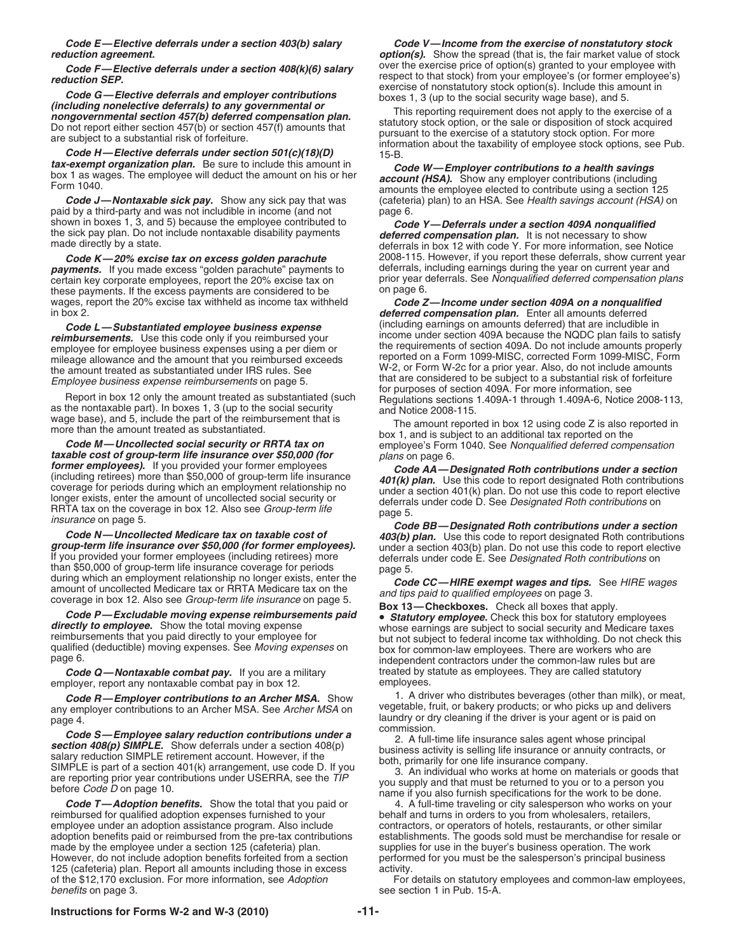**Code F—Elective deferrals under a section 408(k)(6) salary** over the exercise price of option(s) granted to your employee with<br> **reduction SEP.**<br>
Code G—Elective deferrals and employer contributions<br>
(including nonelecti

paid by a third-party and was not includible in income (and not page 6.<br>shown in boxes 1, 3, and 5) because the employee contributed to  $\boldsymbol{C}$ 

*payments.* If you made excess "golden parachute" payments to these payments. If the excess payments are considered to be  $\frac{1}{2}$  on page 6.<br>wages, report the 20% excise tax withheld as income tax withheld **Code Z—Income under section 409A on a nongualified** wages, report the 20% excise tax withheld as income tax withheld

wage base), and 5, include the part of the reimbursement that is<br>
more than the amount treated as substantiated.<br>
The amount reported in box 12 using code Z is also reported in<br>
code M—Uncollected social security or RRTA

employer, report any nontaxable combat pay in box 12.

any employer contributions to an Archer MSA. See *Archer MSA* on page 4.

Code S—Employee salary reduction contributions under a<br>section 408(p) SIMPLE. Show deferrals under a section 408(p)<br>salary reduction SIMPLE retirement account. However, if the<br>SIMPLE is part of a section 401(k) arrangement

reimbursed for qualified adoption expenses furnished to your employee under an adoption assistance program. Also include adoption benefits paid or reimbursed from the pre-tax contributions establishments. The goods sold must be merchandise for resale or<br>made by the employee under a section 125 (cafeteria) plan. supplies for use in the buyer' made by the employee under a section 125 (cafeteria) plan. However, do not include adoption benefits forfeited from a section performed for you must be the salesperson's principal business 125 (cafeteria) plan. Report all amounts including those in excess activity. of the \$12,170 exclusion. For more information, see Adoption For details on statutory employees and common-law employees,<br>
See section 1 in Pub. 15-A.

*Code E—Elective deferrals under a section 403(b) salary Code V—Income from the exercise of nonstatutory stock*<br>*option(s).* Show the spread (that is, the fair market value of stockness). Show the spread (that is, the fa *option(s).* Show the spread (that is, the fair market value of stock over the exercise price of option(s) granted to your employee with

tax-exempt organization plan. Be sure to include this amount in<br>box 1 as wages. The employee will deduct the amount on his or her<br>Form 1040.<br>Code J—Nontaxable sick pay. Show any sick pay that was<br>Cafeteria) plan) to an HS *(cafeteria)* plan) to an HSA. See Health savings account (HSA) on

shown in boxes 1, 3, and 5) because the employee contributed to<br>the sick pay plan. Do not include nontaxable disability payments<br>made directly by a state. <br>made directly by a state. <br>Moreon the sability payments deferrals *Code K—20% excise tax on excess golden parachute* 2008-115. However, if you report these deferrals, show current year certain key corporate employees, report the 20% excise tax on prior year deferrals. See Nonqualified deferred compensation plans<br>these payments. If the excess payments are considered to be on page 6.

in box 2. *deferred compensation plan.* Enter all amounts deferred *Code L—Substantiated employee business expense* (including earnings on amounts deferred) that are includible in reimbursements. Use this code only if you reimbursed your lincome under section 409A because the NQDC plan fails to satisfy<br>employee for employee business expenses using a per diem or the requirements of section 409A. Do n employee for employee business experises using a per ultrimore reported on a Form 1099-MISC, corrected Form 1099-MISC, Form mileage allowance and the amount that you reimbursed exceeds<br>the amount treated as substantiated u the amount treated as substantiated under IRS rules. See W-2, or Form W-2c for a prior year. Also, do not include amounts<br>
Employee business expense reimbursements on page 5.<br>
Report in box 12 only the amount treated as su

than \$50,000 of group-term life insurance coverage for periods<br>amount of uncollected Medicare tax or RRTA Medicare tax on the<br>amount of uncollected Medicare tax or RRTA Medicare tax on the<br>coverage in box 12. Also see *Gr* **Code Q—Nontaxable combat pay.** If you are a military treated by statute as employees. They are called statutory the process of the process of the statutory of the process of the process of the process of the process of th

*Code R—Employer contributions to an Archer MSA.* Show 1. A driver who distributes beverages (other than milk), or meat, employer contributions to an Archer MSA. See *Archer MSA* on vegetable, fruit, or bakery products; or laundry or dry cleaning if the driver is your agent or is paid on<br>commission.

**Code T—Adoption benefits.** Show the total that you paid or 4. A full-time traveling or city salesperson who works on your behalf and turns in orders to you from wholesalers, retailers, contractors, or operators of hotels, restaurants, or other similar

see section 1 in Pub. 15-A.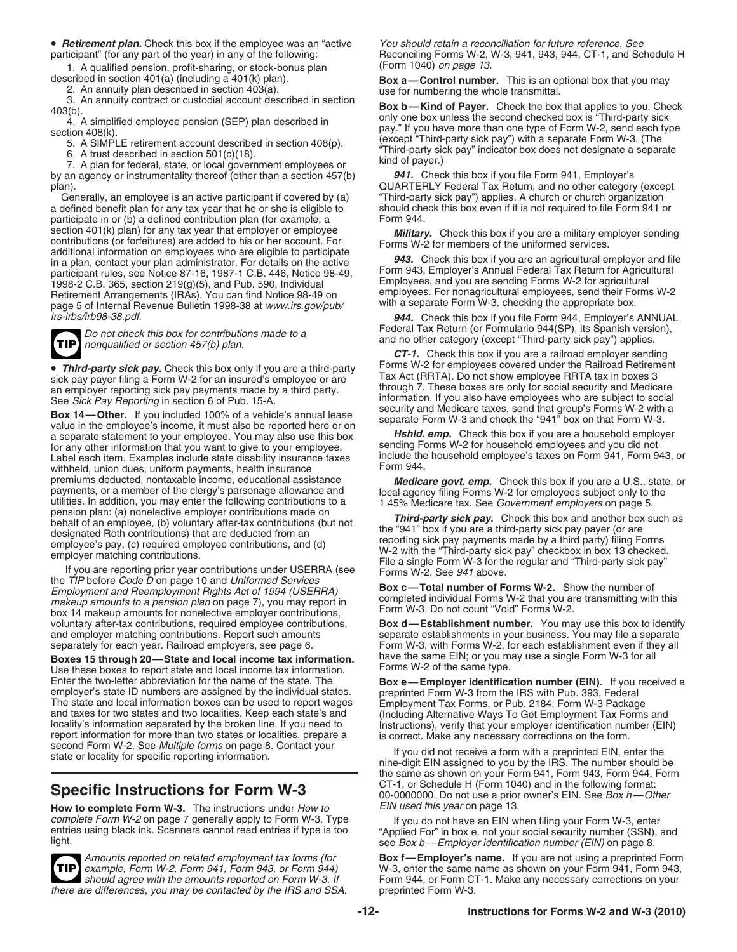• **Retirement plan.** Check this box if the employee was an "active You should retain a reconciliation for future reference. See participant" (for any part of the year) in any of the following: Reconciling Forms W-2, W-3, 9

1. A qualified pension, profit-sharing, or stock-bonus plan described in section  $401(a)$  (including a  $401(k)$  plan).

by an agency or instrumentality thereof (other than a section 457(b)

Generally, an employee is an active participant if covered by (a) a defined benefit plan for any tax year that he or she is eligible to should check this box even if it is not required to file Form 941 or participate in or (b) a defined contribution plan (for example, a Form 944. participate in or (b) a defined contribution plan (for example, a section 401(k) plan) for any tax year that employer or employee<br>
contributions (or forfeitures) are added to his or her account. For<br>
additional information on employees who are eligible to participate<br>
in a plan, contact page 5 of Internal Revenue Bulletin 1998-38 at www.irs.gov/pub/<br>irs-irbs/irb98-38.pdf.

**TIP**

value in the employee's income, it must also be reported here or on<br>a separate statement to your employee. You may also use this box **Hshld. emp.** Check this box if you are a household employer<br>for any other information th Label each item. Examples include state disability insurance taxes include the household employee's taxes on Form 941, Form 943, or<br>withheld union dues uniform payments health insurance taxes Form 944. withheld, union dues, uniform payments, health insurance premiums deducted, nontaxable income, educational assistance premiums deducted, nontaxable income, educational assistance<br>payments, or a member of the clergy's parsonage allowance and<br>utilities. In addition, you may enter the following contributions to a<br>pension plan: (a) nonelectiv

It you are reporting prior year contributions under USERRA (see Forms W-2. See 941 above.<br>
the TIP before Code D on page 10 and Uniformed Services **Box c—Total number of Forms W-2.** Show the number of<br>
Employment and Reemp box 14 makeup amounts for nonelective employer contributions,<br>box 14 makeup amounts for nonelective employer contributions,

**Boxes 15 through 20—State and local income tax information.** have the same EIN; or you m<br>Use these boxes to report state and local income tax information. Forms W-2 of the same type. Use these boxes to report state and local income tax information. Enter the two-letter abbreviation for the name of the state. The **Box e—Employer identification number (EIN).** If you received a<br>employer's state ID numbers are assigned by the individual states.<br>The state and local inform

**How to complete Form W-3.** The instructions under How to complete Form W-2 on page 7 generally apply to Form W-3. Type



there are differences, you may be contacted by the IRS and SSA.

Reconciling Forms W-2, W-3, 941, 943, 944, CT-1, and Schedule H (Form 1040) on page 13.

described in section 401(a) (including a 401(k) plan).<br>
2. An annuity plan described in section 403(a).<br>
3. An annuity contract or custodial account described in section<br>
4. A simplified employee pension (SEP) plan descri

plan).<br>
Generally, an employee is an active participant if covered by (a) QUARTERLY Federal Tax Return, and no other category (except<br>
Generally, an employee is an active participant if covered by (a) "Third-party sick pay

employees. For nonagricultural employees, send their Forms W-2 with a separate Form W-3, checking the appropriate box.

944. Check this box if you file Form 944, Employer's ANNUAL Federal Tax Return (or Formulario 944(SP), its Spanish version), Do not check this box for contributions made to a<br>nonqualified or section 457(b) plan.<br>nonqualified or section 457(b) plan.

**CT-1.** Check this box if you are a railroad employer sending Forms W-2 for employees covered under the Railroad Retirement • **Third-party sick pay.** Check this box only if you are a third-party<br>sick pay payer filing a Form W-2 for an insured's employee or are<br>an employer reporting sick pay payments made by a third party.<br>See Sick Pay Reportin

sending Forms W-2 for household employees and you did not

voluntary after-tax contributions, required employee contributions,<br>and employer matching contributions. Report such amounts separate establishments in your business. You may file a separate separate establishments in your business. You may file a separate separately for each year. Railroad employers, see page 6. Form W-3, with Forms W-2, for each establishment even if they all<br>Roxes 15 through 20—State and local income tax information have the same EIN; or you may use a sin

the same as shown on your Form 941, Form 943, Form 944, Form CT-1, or Schedule H (Form 1040) and in the following format: Specific Instructions for Form W-3<br>
How to complete Form W-3. The instructions under How to<br> *EIN used this year* on page 13.

complete Form W-2 on page 7 generally apply to Form W-3. Type<br>entries using black ink. Scanners cannot read entries if type is too<br>light.<br>light. see Box b—Employer identification number (EIN) on page 8.

Amounts reported on related employment tax forms (for **Box f—Employer's name.** If you are not using a preprinted Form<br>example, Form W-2, Form 941, Form 943, or Form 944) W-3, enter the same name as shown on your Form 941, example, Form W-2, Form 941, Form 943, or Form 944) W-3, enter the same name as shown on your Form 941, Form 943, should agree with the amounts reported on Form W-3. If Form 944, or Form CT-1. Make any necessary correction Form 944, or Form CT-1. Make any necessary corrections on your preprinted Form W-3.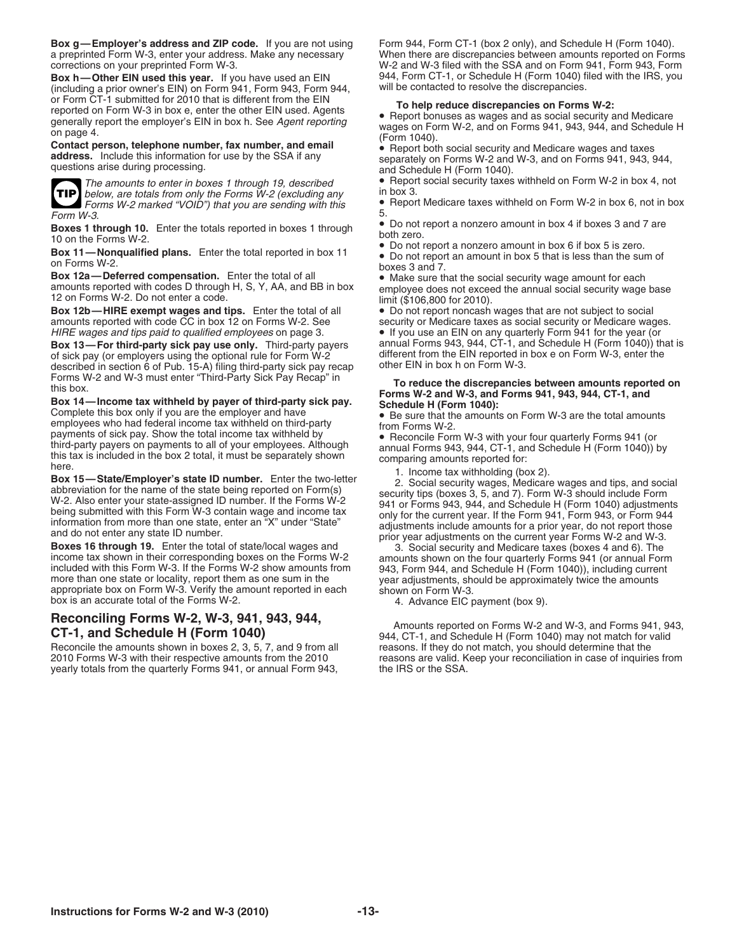**Box g—Employer's address and ZIP code.** If you are not using Form 944, Form CT-1 (box 2 only), and Schedule H (Form 1040). **a** preprinted Form W-3, enter your address. Make any necessary When there are discrepancies betwe

**Box h—Other EIN used this year.** If you have used an EIN 944, Form CT-1, or Schedule H (Form 1040) fincluding a prior owner's EIN) on Form 941, Form 943, Form 944, will be contacted to resolve the discrepancies. (including a prior owner's EIN) on Form 941, Form 943, Form 944, or Form CT-1 submitted for 2010 that is different from the EIN<br>
reported on Form W-3 in box e, enter the other EIN used. Agents<br>
generally report bonuses as wages and as social security and Medicare<br>
on page 4.<br>
Contact pe



below, are totals from only the Forms W-2 (excluding any Forms W-2 marked "VOID") that you are sending with this Form W-3.  $\qquad \qquad$  5.

Exercise 1 through 10. Enter the totals reported in boxes 1 through <br>
10 on the Forms W-2.<br> **Box 11**—**Nonqualified plans.** Enter the total reported in box 11<br> **Exercise 2** on the Forms W-2.<br> **Exercise 2** on the Forms W-2.<br>

**Box 12a—Deferred compensation.** Enter the total of all<br>amounts reported with codes D through H, S, Y, AA, and BB in box<br>12 on Forms W-2. Do not enter a code.<br>**Box 12b—HIRE exempt wages and tips.** Enter the total of all<br>**B** 

**Box 12b—HIRE exempt wages and tips.** Enter the total of all **•** Do not report noncash wages that are not subject to social amounts reported with code CC in box 12 on Forms W-2. See security or Medicare taxes as social sec amounts reported with code CC in box 12 on Forms W-2. See security or Medicare taxes as social security or Medicare wages.<br>HIRE wages and tips paid to qualified employees on page 3. HIRE wages and tips paid to qualified employees on page 3. • If you use an EIN on any quarterly Form 941 for the year (or

**Box 13—For third-party sick pay use only.** Third-party payers annual Forms 943, 944, CT-1, and Schedule H (Form 1040)) that is **Box 13—For third-party sick pay use only.** Third-party payers annual Forms 943, 944, CT-1, and Schedule H (Form 1040)) the optional rule for Form W-2 different from the EIN reported in box e on Form W-3, enter the describ described in section 6 of Pub. 15-A) filing third-party sick pay recap Forms W-2 and W-3 must enter "Third-Party Sick Pay Recap" in

Forms 1942 and W-3 must enter "Third-Party Sick Pay Recap" in<br>
His box.<br>
How the box only if you are the employer and have<br>
Complete this box only if you are the employer and have<br>
employers with early sick pay.<br>
Schedule

box is an accurate total of the Forms W-2. 4. Advance EIC payment (box 9).

yearly totals from the quarterly Forms 941, or annual Form 943,

a preprinted Form W-3, enter your address. Make any necessary When there are discrepancies between amounts reported on Forms<br>W-2 and W-3 filed with the SSA and on Form 941, Form 943, Form W-2 and W-3 filed with the SSA and on Form 941, Form 943, Form 944, Form CT-1, or Schedule H (Form 1040) filed with the IRS, you

ns arise during processing.<br>The amounts to enter in boxes 1 through 19, described • Report social security taxes withheld on Form W-2 in box 4, not<br>below, are totals from only the Forms W-2 (excluding any in box 3.

Forms W-2 marked "VOID") that you are sending with this • Report Medicare taxes withheld on Form W-2 in box 6, not in box 6, not in box 6.

**Reconciling Forms W-2, W-3, 941, 943, 944,**<br> **CT-1, and Schedule H (Form 1040)**<br>
Reconcile the amounts shown in boxes 2, 3, 5, 7, and 9 from all reasons. If they do not match, you should determine that the reasons. If they do not match, you should determine that the 2010 Forms W-3 with their respective amounts from the 2010 reasons are valid. Keep your reconciliation in case of inquiries from yearly totals from the quarterly Forms 941, or annual Form 943, the IRS or the SSA.